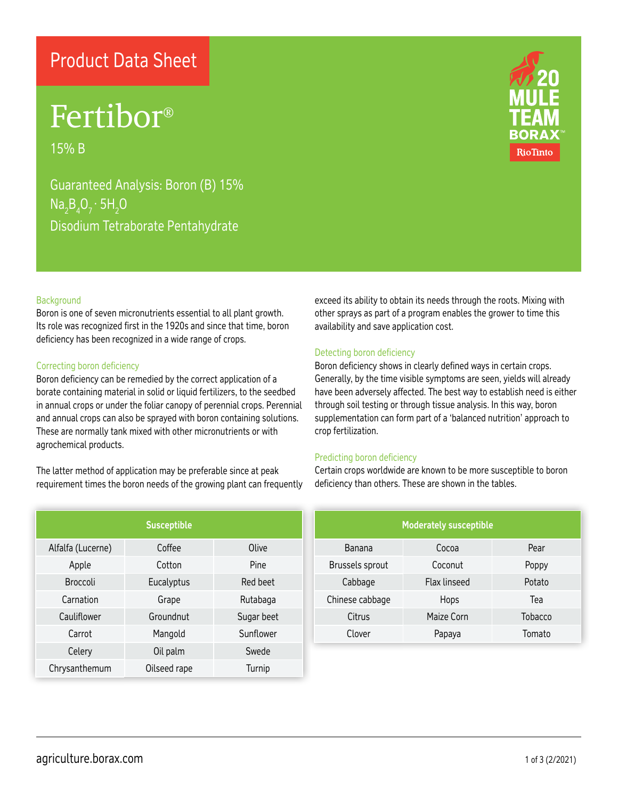### Product Data Sheet

## Fertibor®

15% B

Guaranteed Analysis: Boron (B) 15%  $Na<sub>2</sub>B<sub>4</sub>O<sub>7</sub> \cdot 5H<sub>2</sub>O$ Disodium Tetraborate Pentahydrate



Boron is one of seven micronutrients essential to all plant growth. Its role was recognized first in the 1920s and since that time, boron deficiency has been recognized in a wide range of crops.

#### Correcting boron deficiency

Boron deficiency can be remedied by the correct application of a borate containing material in solid or liquid fertilizers, to the seedbed in annual crops or under the foliar canopy of perennial crops. Perennial and annual crops can also be sprayed with boron containing solutions. These are normally tank mixed with other micronutrients or with agrochemical products.

The latter method of application may be preferable since at peak requirement times the boron needs of the growing plant can frequently

| <b>Susceptible</b> |              |            |  |  |
|--------------------|--------------|------------|--|--|
| Alfalfa (Lucerne)  | Coffee       | Olive      |  |  |
| Apple              | Cotton       | Pine       |  |  |
| <b>Broccoli</b>    | Eucalyptus   | Red beet   |  |  |
| Carnation          | Grape        | Rutabaga   |  |  |
| Cauliflower        | Groundnut    | Sugar beet |  |  |
| Carrot             | Mangold      | Sunflower  |  |  |
| Celery             | Oil palm     | Swede      |  |  |
| Chrysanthemum      | Oilseed rape | Turnip     |  |  |



exceed its ability to obtain its needs through the roots. Mixing with other sprays as part of a program enables the grower to time this availability and save application cost.

#### Detecting boron deficiency

Boron deficiency shows in clearly defined ways in certain crops. Generally, by the time visible symptoms are seen, yields will already have been adversely affected. The best way to establish need is either through soil testing or through tissue analysis. In this way, boron supplementation can form part of a 'balanced nutrition' approach to crop fertilization.

#### Predicting boron deficiency

Certain crops worldwide are known to be more susceptible to boron deficiency than others. These are shown in the tables.

| <b>Moderately susceptible</b> |                     |         |  |  |
|-------------------------------|---------------------|---------|--|--|
| Banana                        | Cocoa               | Pear    |  |  |
| Brussels sprout               | Coconut             | Poppy   |  |  |
| Cabbage                       | <b>Flax linseed</b> | Potato  |  |  |
| Chinese cabbage               | Hops                | Tea     |  |  |
| Citrus                        | Maize Corn          | Tobacco |  |  |
| Clover                        | Papaya              | Tomato  |  |  |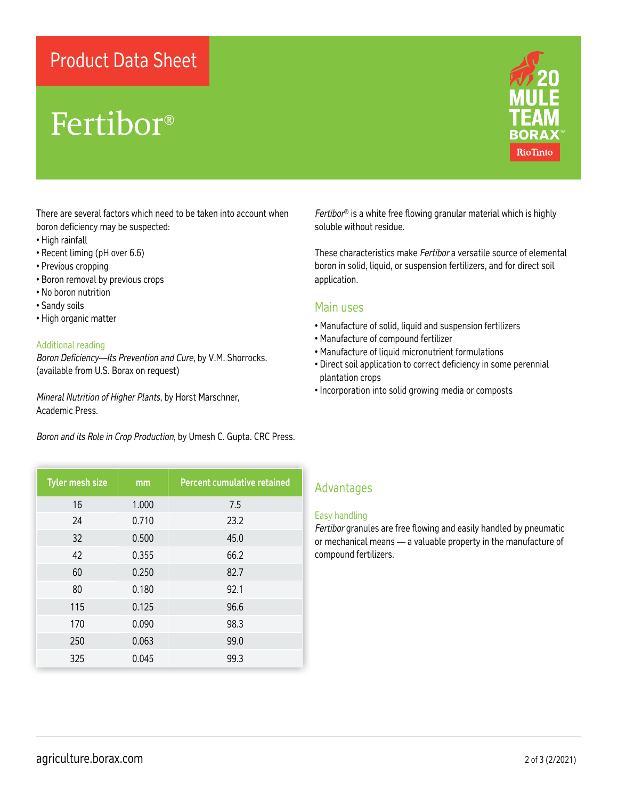### Product Data Sheet

## Fertibor®



There are several factors which need to be taken into account when boron deficiency may be suspected:

- High rainfall
- Recent liming (pH over 6.6)
- Previous cropping
- Boron removal by previous crops
- No boron nutrition
- Sandy soils
- High organic matter

#### Additional reading

*Boron Deficiency—Its Prevention and Cure*, by V.M. Shorrocks. (available from U.S. Borax on request)

*Mineral Nutrition of Higher Plants*, by Horst Marschner, Academic Press.

*Boron and its Role in Crop Production*, by Umesh C. Gupta. CRC Press.

| <b>Tyler mesh size</b> | mm    | <b>Percent cumulative retained</b> |
|------------------------|-------|------------------------------------|
| 16                     | 1.000 | 7.5                                |
| 24                     | 0.710 | 23.2                               |
| 32                     | 0.500 | 45.0                               |
| 42                     | 0.355 | 66.2                               |
| 60                     | 0.250 | 82.7                               |
| 80                     | 0.180 | 92.1                               |
| 115                    | 0.125 | 96.6                               |
| 170                    | 0.090 | 98.3                               |
| 250                    | 0.063 | 99.0                               |
| 325                    | 0.045 | 99.3                               |

*Fertibor*® is a white free flowing granular material which is highly soluble without residue.

These characteristics make *Fertibor* a versatile source of elemental boron in solid, liquid, or suspension fertilizers, and for direct soil application.

#### Main uses

- Manufacture of solid, liquid and suspension fertilizers
- Manufacture of compound fertilizer
- Manufacture of liquid micronutrient formulations
- Direct soil application to correct deficiency in some perennial plantation crops
- Incorporation into solid growing media or composts

#### Advantages

#### Easy handling

*Fertibor* granules are free flowing and easily handled by pneumatic or mechanical means — a valuable property in the manufacture of compound fertilizers.